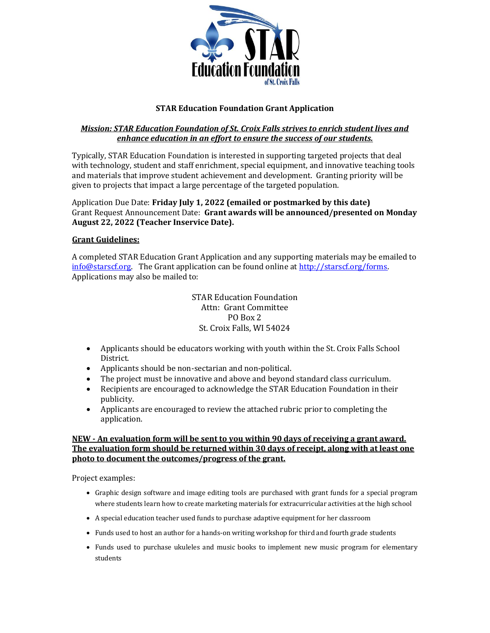

# **STAR Education Foundation Grant Application**

## *Mission: STAR Education Foundation of St. Croix Falls strives to enrich student lives and enhance education in an effort to ensure the success of our students.*

Typically, STAR Education Foundation is interested in supporting targeted projects that deal with technology, student and staff enrichment, special equipment, and innovative teaching tools and materials that improve student achievement and development. Granting priority will be given to projects that impact a large percentage of the targeted population.

Application Due Date: **Friday July 1, 2022 (emailed or postmarked by this date)**  Grant Request Announcement Date: **Grant awards will be announced/presented on Monday August 22, 2022 (Teacher Inservice Date).** 

### **Grant Guidelines:**

A completed STAR Education Grant Application and any supporting materials may be emailed to [info@starscf.org.](mailto:info@starscf.org) The Grant application can be found online at [http://starscf.org/forms.](http://starscf.org/forms) Applications may also be mailed to:

> STAR Education Foundation Attn: Grant Committee PO Box 2 St. Croix Falls, WI 54024

- Applicants should be educators working with youth within the St. Croix Falls School District.
- Applicants should be non-sectarian and non-political.
- The project must be innovative and above and beyond standard class curriculum.
- Recipients are encouraged to acknowledge the STAR Education Foundation in their publicity.
- Applicants are encouraged to review the attached rubric prior to completing the application.

#### **NEW - An evaluation form will be sent to you within 90 days of receiving a grant award. The evaluation form should be returned within 30 days of receipt, along with at least one photo to document the outcomes/progress of the grant.**

Project examples:

- Graphic design software and image editing tools are purchased with grant funds for a special program where students learn how to create marketing materials for extracurricular activities at the high school
- A special education teacher used funds to purchase adaptive equipment for her classroom
- Funds used to host an author for a hands-on writing workshop for third and fourth grade students
- Funds used to purchase ukuleles and music books to implement new music program for elementary students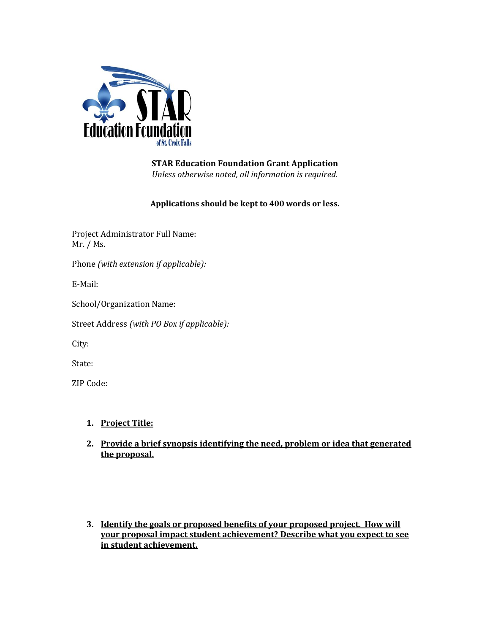

**STAR Education Foundation Grant Application** *Unless otherwise noted, all information is required.*

# **Applications should be kept to 400 words or less.**

Project Administrator Full Name: Mr. / Ms.

Phone *(with extension if applicable):*

E-Mail:

School/Organization Name:

Street Address *(with PO Box if applicable):*

City:

State:

ZIP Code:

- **1. Project Title:**
- **2. Provide a brief synopsis identifying the need, problem or idea that generated the proposal.**
- **3. Identify the goals or proposed benefits of your proposed project. How will your proposal impact student achievement? Describe what you expect to see in student achievement.**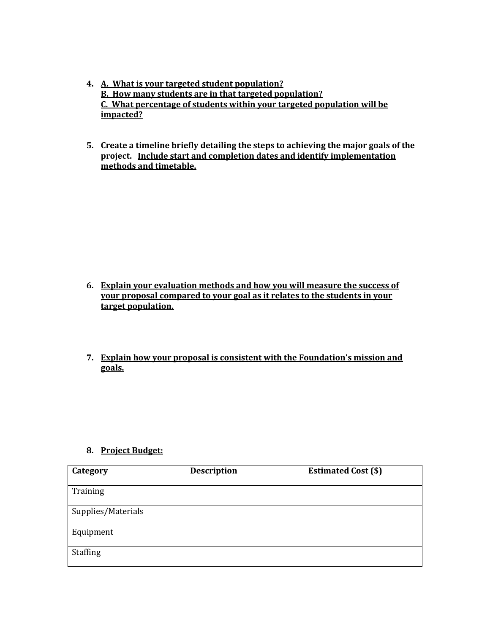- **4. A. What is your targeted student population? B. How many students are in that targeted population? C. What percentage of students within your targeted population will be impacted?**
- **5. Create a timeline briefly detailing the steps to achieving the major goals of the project. Include start and completion dates and identify implementation methods and timetable.**

- **6. Explain your evaluation methods and how you will measure the success of your proposal compared to your goal as it relates to the students in your target population.**
- **7. Explain how your proposal is consistent with the Foundation's mission and goals.**

#### **8. Project Budget:**

| Category           | <b>Description</b> | <b>Estimated Cost (\$)</b> |  |
|--------------------|--------------------|----------------------------|--|
|                    |                    |                            |  |
| Training           |                    |                            |  |
| Supplies/Materials |                    |                            |  |
| Equipment          |                    |                            |  |
| <b>Staffing</b>    |                    |                            |  |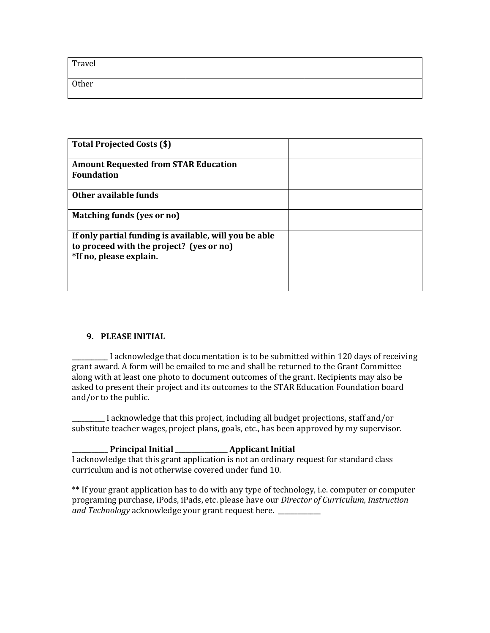| Travel |  |
|--------|--|
| Other  |  |

| <b>Total Projected Costs (\$)</b>                                                                                             |  |
|-------------------------------------------------------------------------------------------------------------------------------|--|
| <b>Amount Requested from STAR Education</b><br><b>Foundation</b>                                                              |  |
| Other available funds                                                                                                         |  |
| Matching funds (yes or no)                                                                                                    |  |
| If only partial funding is available, will you be able<br>to proceed with the project? (yes or no)<br>*If no, please explain. |  |

## **9. PLEASE INITIAL**

\_\_\_\_\_\_\_\_\_\_\_ I acknowledge that documentation is to be submitted within 120 days of receiving grant award. A form will be emailed to me and shall be returned to the Grant Committee along with at least one photo to document outcomes of the grant. Recipients may also be asked to present their project and its outcomes to the STAR Education Foundation board and/or to the public.

\_\_\_\_\_\_\_\_\_\_ I acknowledge that this project, including all budget projections, staff and/or substitute teacher wages, project plans, goals, etc., has been approved by my supervisor.

**\_\_\_\_\_\_\_\_\_\_\_ Principal Initial \_\_\_\_\_\_\_\_\_\_\_\_\_\_\_\_ Applicant Initial** I acknowledge that this grant application is not an ordinary request for standard class curriculum and is not otherwise covered under fund 10.

\*\* If your grant application has to do with any type of technology, i.e. computer or computer programing purchase, iPods, iPads, etc. please have our *Director of Curriculum, Instruction and Technology* acknowledge your grant request here. \_\_\_\_\_\_\_\_\_\_\_\_\_